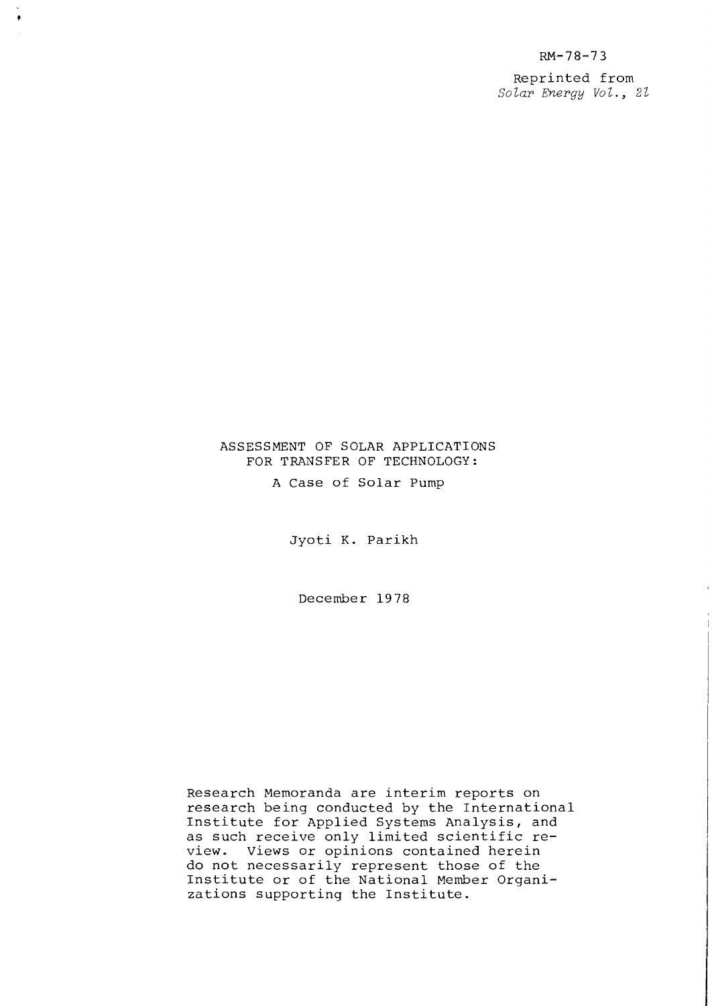# $RM-78-73$

Reprinted from *Solar Energy Vo 2.* , *2 2.* 

# ASSESSMENT OF SOLAR APPLICATIONS FOR TRANSFER OF TECHNOLOGY:

A Case of Solar Pump

Jyoti K. Parikh

December 1978

Research Memoranda are interim reports on research being conducted by the International Institute for Applied Systems Analysis, and as such receive only limited scientific review. Views or opinions contained herein do not necessarily represent those of the Institute or of the National Member Organizations supporting the Institute.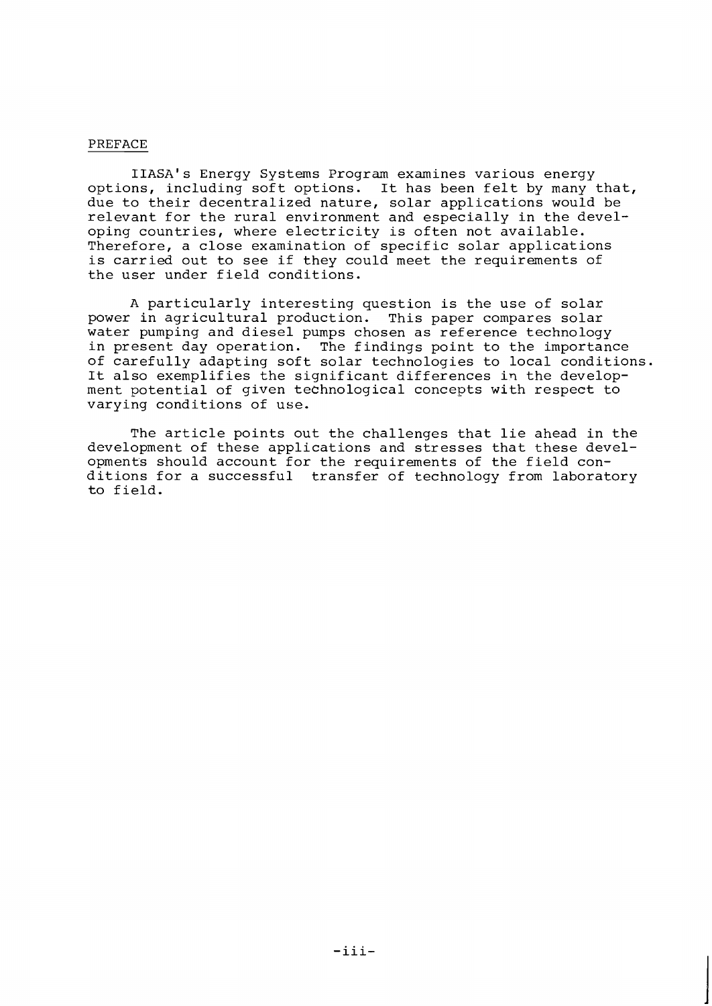# PREFACE

IIASA's Energy Systems Program examines various energy options, including soft options. It has been felt by many that, due to their decentralized nature, solar applications would be relevant for the rural environment and especially in the developing countries, where electricity is often not available. Therefore, a close examination of specific solar applications is carried out to see if they could meet the requirements of the user under field conditions.

A particularly interesting question is the use of solar power in agricultural production. This paper compares solar water pumping and diesel pumps chosen as reference technology in present day operation. The findings point to the importance of carefully adapting soft solar technologies to local conditions. It also exemplifies the significant differences in the development potential of given technological concepts with respect to varying conditions of use.

The article points out the challenges that lie ahead in the development of these applications and stresses that these developments should account for the requirements of the field conditions for a successful transfer of technology from laboratory to field.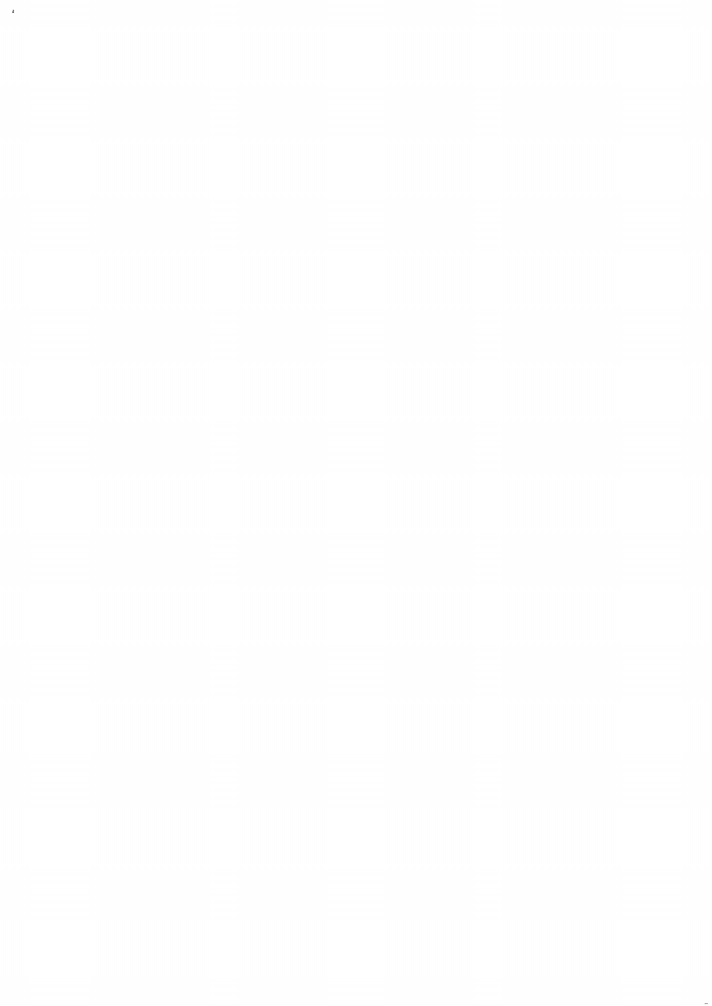$\bar{z}$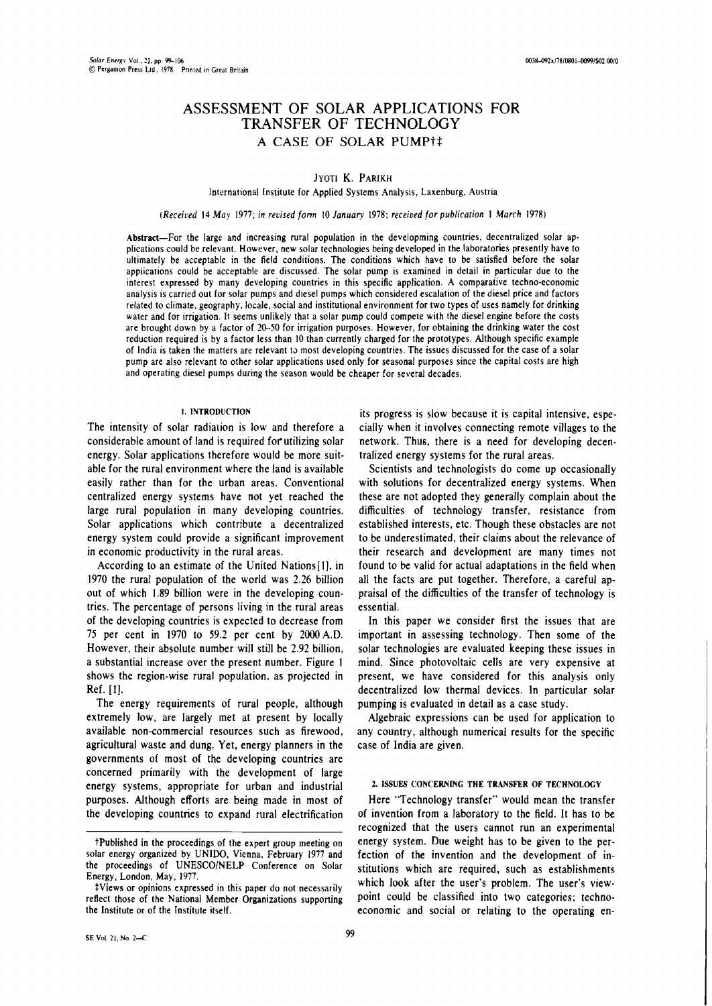# ASSESSMENT OF SOLAR APPLICATIONS FOR TRANSFER OF TECHNOLOGY **A CASE OF SOLAR PUMP?\$**

# JYOTI **K. PARIKH**

International Institute for Applied Systems Analysis, Laxenburg, Austria

**(Received** 14 **May** 1977; in **recised form** 10 **January** 1978; **received for publication** I **March** 1978)

Abstract-For the large and increasing rural population in the developming countries, decentralized solar applications could be relevant. However, new solar technologies being developed in the laboratories presently have to ultimately be acceptable in the field conditions. The conditions which have to be satisfied before the solar applications could be acceptable are discussed. The solar pump is examined in detail in particular due to the interest expressed by many developing countries in this specific application. A comparative techno-economic analysis is carried out for solar pumps and diesel pumps which considered escalation of the diesel price and factors related to climate, geography, locale, social and institutional environment for two types of uses namely for drinking water and for irrigation. It seems unlikely that a solar pump could compete with the diesel engine before the costs are brought down by a factor of *20-50* for irrigation purposes. However, for obtaining the drinking water the cost reduction required is by a factor less than 10 than currently charged for the prototypes. Although specific example of India is taken the matters are relevant to most developing countries. The issues discussed for the case of a solar pump are also relevant to other solar applications used only for seasonal purposes since the capital costs are high and operating diesel pumps during the season would be cheaper for several decades.

# **I. INTRODUCTION**

The intensity of solar radiation is low and therefore a considerable amount of land is required for'utilizing solar energy. Solar applications therefore would be more suitable for the rural environment where the land is available easily rather than for the urban areas. Conventional centralized energy systems have not yet reached the large rural population in many developing countries. Solar applications which contribute a decentralized energy system could provide a significant improvement in economic productivity in the rural areas.

According to an estimate of the United Nations[l]. in 1970 the rural population of the world was 2.26 billion out of which 1.89 billion were in the developing countries. The percentage of persons living in the rural areas of the developing countries is expected to decrease from 75 per cent in 1970 to 59.2 per cent by 2000A.D. However, their absolute number will still be 2.92 billion, a substantial increase over the present number. Figure **<sup>1</sup>** shows the region-wise rural population. as projected in Ref. [I].

The energy requirements of rural people, although extremely low, are largely met at present by locally available non-commercial resources such as firewood, agricultural waste and dung. Yet, energy planners in the governments of most of the developing countries are concerned primarily with the development of large energy systems, appropriate for urban and industrial purposes. Although efforts are being made in most of the developing countries to expand rural electrification its progress is slow because it is capital intensive, especially when it involves connecting remote villages to the network. Thus, there is a need for developing decentralized energy systems for the rural areas.

Scientists and technologists do come up occasionally with solutions for decentralized energy systems. When these are not adopted they generally complain about the difficulties of technology transfer, resistance from established interests, etc. Though these obstacles are not to be underestimated, their claims about the relevance of their research and development are many times not found to be valid for actual adaptations in the field when all the facts are put together. Therefore, a careful appraisal of the difficulties of the transfer of technology is essential.

In this paper we consider first the issues that are important in assessing technology. Then some of the solar technologies are evaluated keeping these issues in mind. Since photovoltaic cells are very expensive at present, we have considered for this analysis only decentralized low thermal devices. In particular solar pumping is evaluated in detail as a case study.

Algebraic expressions can be used for application to any country, although numerical results for the specific case of India are given.

### **2. ISSUES CONCERNING THE TRANSFER OF TECHNOLOGY**

Here "Technology transfer" would mean the transfer of invention from a laboratory to the field. It has to be recognized that the users cannot run an experimental energy system. Due weight has to be given to the perfection of the invention and the development of institutions which are required, such as establishments which look after the user's problem. The user's viewpoint could be classified into two categories; technoeconomic and social or relating to the operating en-

tpublished in the proceedings of the expert group meeting on solar energy organized by UNIDO, Vienna, February 1977 and the proceedings of UNESCO/NELP Conference on Solar Energy, London, May, 1977.

<sup>‡</sup>Views or opinions expressed in this paper do not necessarily reflect those of the National Member Organizations supporting the Institute or of the Institute itself.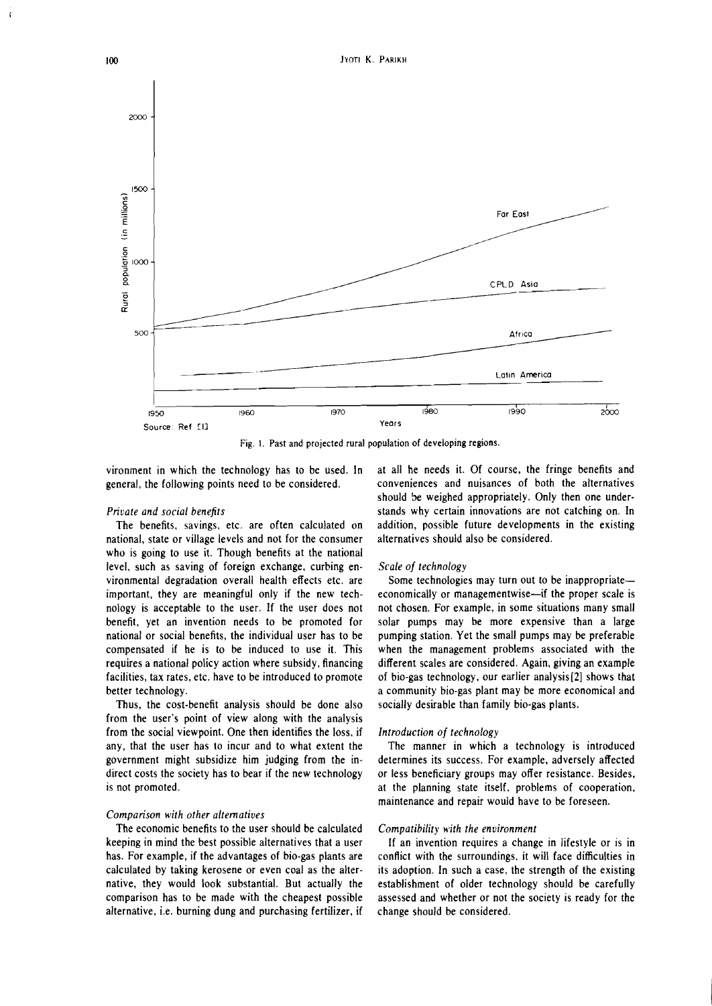

Fig. I. Past and projected rural population of developing regions.

vironment in which the technology has to be used. In general, the following points need to be considered.

### **Pricate and social benefits**

The benefits, savings, etc. are often calculated on national, state or village levels and not for the consumer who is going to use it. Though benefits at the national level, such as saving of foreign exchange, curbing environmental degradation overall health effects etc. are important, they are meaningful only if the new technology is acceptable to the user. If the user does not benefit, yet an invention needs to be promoted for national or social benefits, the individual user has to be compensated if he is to be induced to use it. This requires a national policy action where subsidy, financing facilities, tax rates, etc. have to be introduced to promote better technology.

Thus, the cost-benefit analysis should be done also from the user's point of view along with the analysis from the social viewpoint. One then identifies the loss. if any, that the user has to incur and to what extent the government might subsidize him judging from the indirect costs the society has to bear if the new technology is not promoted.

### **Comparison with other alternatives**

The economic benefits to the user should be calculated keeping in mind the best possible alternatives that a user has. For example, if the advantages of bio-gas plants are calculated by taking kerosene or even coal as the alternative, they would look substantial. But actually the comparison has to be made with the cheapest possible alternative, i.e. burning dung and purchasing fertilizer, if at all he needs it. Of course, the fringe benefits and conveniences and nuisances of both the alternatives should be weighed appropriately. Only then one understands why certain innovations are not catching on. In addition, possible future developments in the existing alternatives should also be considered.

### **Scale of technology**

Some technologies may turn out to be inappropriateeconomically or managementwise—if the proper scale is not chosen. For example, in some situations many small solar pumps may be more expensive than a large pumping station. Yet the small pumps may be preferable when the management problems associated with the different scales are considered. Again, giving an example of bio-gas technology, our earlier analysis[2] shows that a community bio-gas plant may be more economical and socially desirable than family bio-gas plants.

### **Introducrion of technology**

The manner in which a technology is introduced determines its success. For example, adversely affected or less beneficiary groups may offer resistance. Besides, at the planning state itself, problems of cooperation. maintenance and repair would have to be foreseen.

# **Compatibility with the environment**

If an invention requires a change in lifestyle or is in conflict with the surroundings, it will face difficulties in its adoption. In such a case, the strength of the existing establishment of older technology should be carefully assessed and whether or not the society is ready for the change should be considered.

 $100$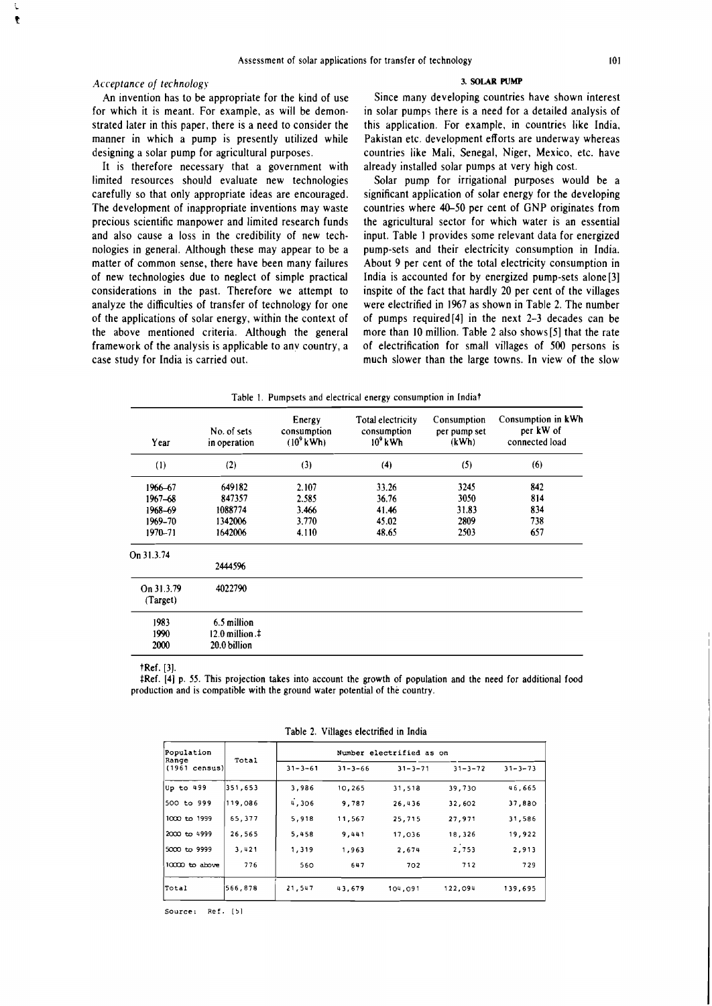**Acceptance of technology** 

ŧ

#### **3. SOLAR PUMP**

An invention has to be appropriate for the kind of use for which it is meant. For example, as will be demonstrated later in this paper, there is a need to consider the manner in which a pump is presently utilized while designing a solar pump for agricultural purposes.

It is therefore necessary that a government with limited resources should evaluate new technologies carefully so that only appropriate ideas are encouraged. The development of inappropriate inventions may waste precious scientific manpower and limited research funds and also cause a loss in the credibility of new technologies in general. Although these may appear to be a matter of common sense, there have been many failures of new technologies due to neglect of simple practical considerations in the past. Therefore we attempt to analyze the difficulties of transfer of technology for one of the applications of solar energy, within the context of the above mentioned criteria. Although the general framework of the analysis is applicable to anv country, a case study for India is carried out.

Since many developing countries have shown interest in solar pumps ihere is a need for a detailed analysis of this application. For example, in countries like India. Pakistan etc. development efforts are underway whereas countries like Mali, Senegal, Niger, Mexico, etc. have already installed solar pumps at very high cost.

Solar pump for irrigational purposes would be a significant application of solar energy for the developing countries where **40-50** per cent of GNP originates from the agricultural sector for which water is an essential input. Table I provides some relevant data for energized pump-sets and their electricity consumption in India. About 9 per cent of the total electricity consumption in India is accounted for by energized pump-sets alone **[3]**  inspite of the fact that hardly **20** per cent of the villages were electrified in 1967 as shown in Table **2.** The number of pumps required[4] in the next **2-3** decades can be more than **10** million. Table **2** also shows **[5]** that the rate of electrification for small villages of **500** persons is much slower than the large towns. In view of the slow

| Year                   | No. of sets<br>in operation | Energy<br>consumption<br>$(10^9 \text{ kWh})$ | Total electricity<br>consumption<br>$10^9$ k Wh | Consumption<br>per pump set<br>(kWh) | Consumption in kWh<br>per kW of<br>connected load |
|------------------------|-----------------------------|-----------------------------------------------|-------------------------------------------------|--------------------------------------|---------------------------------------------------|
| (1)                    | (2)                         | (3)                                           | (4)                                             | (5)                                  | (6)                                               |
| 1966-67                | 649182                      | 2.107                                         | 33.26                                           | 3245                                 | 842                                               |
| 1967-68                | 847357                      | 2.585                                         | 36.76                                           | 3050                                 | 814                                               |
| 1968-69                | 1088774                     | 3.466                                         | 41.46                                           | 31.83                                | 834                                               |
| $1969 - 70$            | 1342006                     | 3.770                                         | 45.02                                           | 2809                                 | 738                                               |
| $1970 - 71$            | 1642006                     | 4.110                                         | 48.65                                           | 2503                                 | 657                                               |
| On 31.3.74             |                             |                                               |                                                 |                                      |                                                   |
|                        | 2444596                     |                                               |                                                 |                                      |                                                   |
| On 31.3.79<br>(Target) | 4022790                     |                                               |                                                 |                                      |                                                   |
| 1983                   | 6.5 million                 |                                               |                                                 |                                      |                                                   |
| 1990                   | $12.0$ million $\ddagger$   |                                               |                                                 |                                      |                                                   |
| 2000                   | 20.0 billion                |                                               |                                                 |                                      |                                                   |

**Table 1. Pumpsets and electrical energy consumption in Indiat** 

**tRef. [3].** 

**SRef. [4] p. 55. This projection takes into account the growth of population and the need for additional food production and is compatible with the ground water potential of the country.** 

| Population<br>Range<br>$(1961 \text{ census})$ | Total    | Number electrified as on |               |               |               |               |  |
|------------------------------------------------|----------|--------------------------|---------------|---------------|---------------|---------------|--|
|                                                |          | $31 - 3 - 61$            | $31 - 3 - 66$ | $31 - 3 - 71$ | $31 - 3 - 72$ | $31 - 3 - 73$ |  |
| Up to 499                                      | 351,653  | 3,986                    | 10,265        | 31,518        | 39,730        | 46.665        |  |
| 500 to 999                                     | 119.086  | 4,306                    | 9,787         | 26,436        | 32,602        | 37,880        |  |
| 1000 to 1999                                   | 65,377   | 5.918                    | 11,567        | 25,715        | 27,971        | 31,586        |  |
| 2000 to 4999                                   | 26.565   | 5,458                    | 9.441         | 17.036        | 18,326        | 19,922        |  |
| 5000 to 9999                                   | 3.421    | 1,319                    | 1.963         | 2.674         | 2,753         | 2,913         |  |
| 10000 to above                                 | 776      | 560                      | 647           | 702           | 712           | 729           |  |
| Total                                          | 1566.878 | 21,547                   | 43,679        | 104,091       | 122,094       | 139,695       |  |

**Table 2. Villages electrified in India** 

Source: Ref. [5]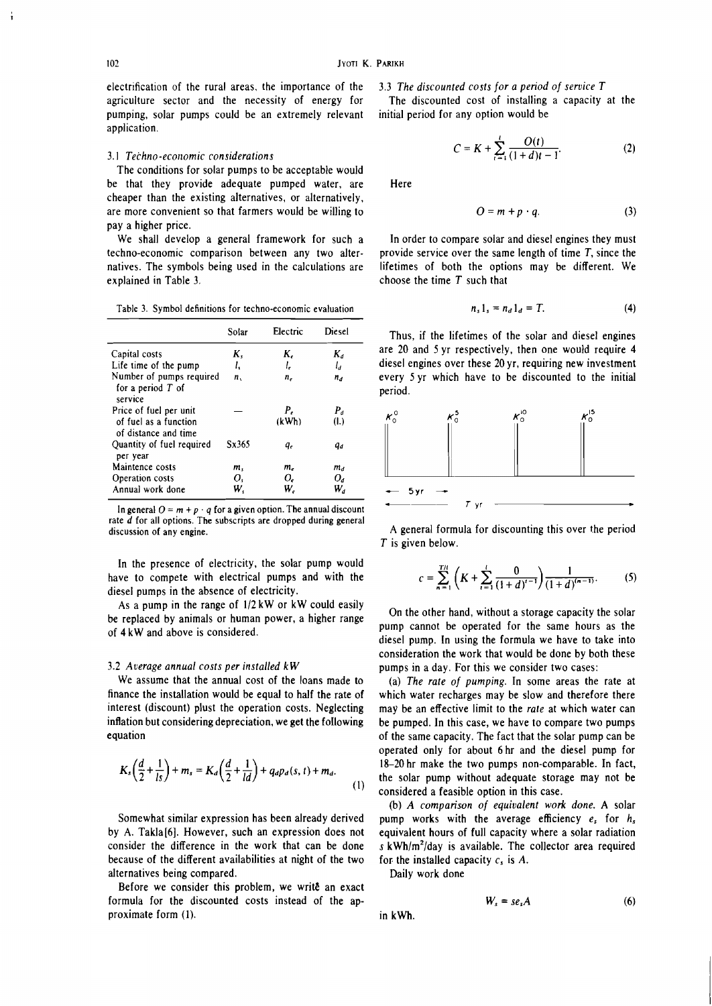electrification of the rural areas, the importance of the agriculture sector and the necessity of energy for pumping, solar pumps could be an extremely relevant application.

### 3.1 *Techno-economic considerations*

The conditions for solar pumps to be acceptable would be that they provide adequate pumped water, are cheaper than the existing alternatives, or alternatively, are more convenient so that farmers would be willing to pay a higher price.

We shall develop a general framework for such a techno-economic comparison between any two alternatives. The symbols being used in the calculations are explained in Table 3.

**Table 3. Symbol definitions for techno-economic evaluation** 

|                                                                         | Solar | Electric    | Diesel        |
|-------------------------------------------------------------------------|-------|-------------|---------------|
| Capital costs                                                           | Κ,    | K,          | $K_d$         |
| Life time of the pump                                                   | ı,    | ı,          | l,            |
| Number of pumps required<br>for a period $T$ of<br>service              | n.    | п,          | n,            |
| Price of fuel per unit<br>of fuel as a function<br>of distance and time |       | Р,<br>(kWh) | $P_d$<br>(l.) |
| Quantity of fuel required<br>per year                                   | Sx365 | q           | ۹đ            |
| Maintence costs                                                         | m,    | m,          | $m_d$         |
| Operation costs                                                         | о.    | ο.          | ο.            |
| Annual work done                                                        | w.    | w.          | w,            |

In general  $Q = m + p \cdot q$  for a given option. The annual discount **rate d for all options. The subscripts are dropped during general discussion of any engine.** 

In the presence of electricity, the solar pump would have to compete with electrical pumps and with the diesel pumps in the absence of electricity.

As a pump in the range of  $1/2$  kW or kW could easily be replaced by animals or human power, a higher range of 4 kW and above is considered.

# 3.2 *Average annual costs per installed kW*

We assume that the annual cost of the loans made to finance the installation would be equal to half the rate of interest (discount) plust the operation costs. Neglecting inflation but considering depreciation, we get the foIlowing equation

$$
K_s\left(\frac{d}{2} + \frac{1}{ls}\right) + m_s = K_d\left(\frac{d}{2} + \frac{1}{ld}\right) + q_a p_a(s, t) + m_a.
$$
 (1)

Somewhat similar expression has been already derived by A. Takla[6]. However, such an expression does not consider the difference in the work that can be done because of the different availabilities at night of the two alternatives being compared.

Before we consider this problem, we write an exact formula for the discounted costs instead of the approximate form (1).

3.3 *The discounted costs for a period of service T* 

The discounted cost of installing a capacity at the initial period for any option would be

$$
C = K + \sum_{i=1}^{l} \frac{O(t)}{(1+d)t - 1}.
$$
 (2)

Here

$$
O = m + p \cdot q. \tag{3}
$$

In order to compare solar and diesel engines they must provide service over the same length of time *T,* since the lifetimes of both the options may be different. We choose the time *T* such that

$$
n_s 1_s = n_d 1_d = T. \tag{4}
$$

Thus, if the lifetimes of the solar and diesel engines are 20 and 5 yr respectively, then one would require 4 diesel engines over these 20 yr, requiring new investment every 5 yr which have to be discounted to the initial period.



A general formula for discounting this over the period *T* is given below.

$$
c = \sum_{n=1}^{T/l} \left( K + \sum_{i=1}^{l} \frac{0}{(1+d)^{i-1}} \right) \frac{1}{(1+d)^{(n-1)}}.
$$
 (5)

On the other hand, without a storage capacity the solar pump cannot be operated for the same hours as the diesel pump. In using the formula we have to take into consideration the work that would be done by both these pumps in a day. For this we consider two cases:

(a) *The rate of pumping.* In some areas the rate at which water recharges may be slow and therefore there may be an effective limit to the *rate* at which water can be pumped. In this case, we have to compare two pumps of the same capacity. The fact that the solar pump can be operated only for about 6 hr and the diesel pump for 18-20 hr make the two pumps non-comparable. In fact, the solar pump without adequate storage may not be considered a feasible option in this case.

(b) A *comparison of equivalent work done. A* solar pump works with the average efficiency *e,* for *h,*  equivalent hours of full capacity where a solar radiation *s* kWh/m2/day is available. The collector area required for the installed capacity *c,* is *A.* 

Daily work done

$$
W_s = s e_s A \tag{6}
$$

in kWh.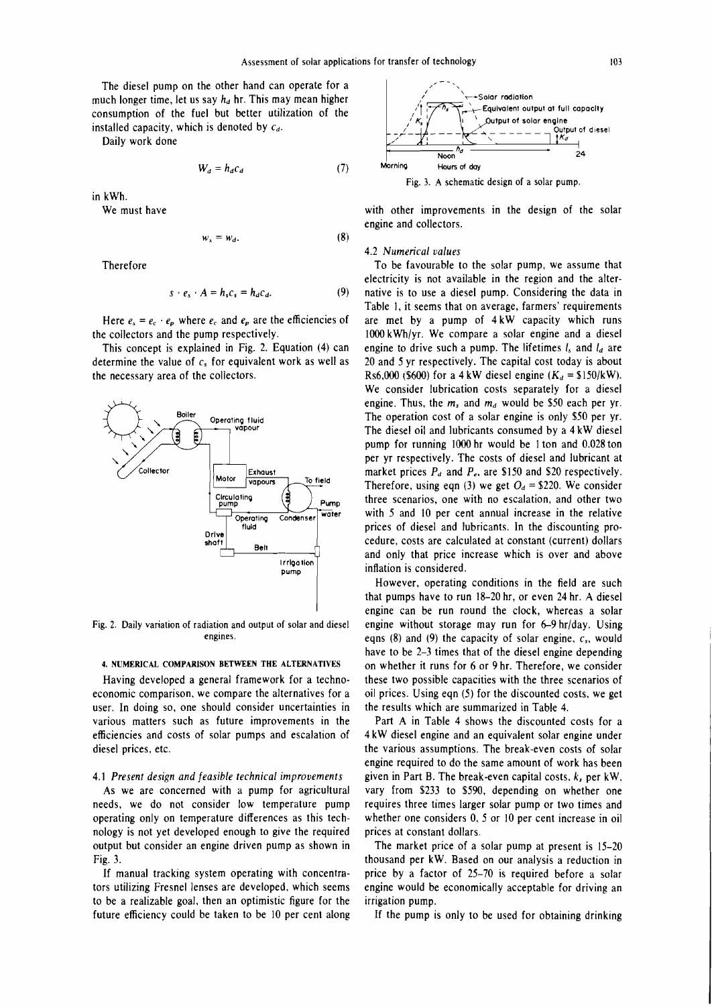Daily work done

$$
W_d = h_d c_d \tag{7}
$$

in kwh.

We must have

$$
v_s = w_d. \tag{8}
$$

Therefore

$$
s \cdot e_s \cdot A = h_s c_s = h_d c_d. \tag{9}
$$

Here  $e_s = e_c \cdot e_p$  where  $e_c$  and  $e_p$  are the efficiencies of the collectors and the pump respectively.

This concept is explained in Fig. 2. Equation (4) can determine the value of *c,* for equivalent work as well as the necessary area of the collectors.



Fig. 2. Daily variation of radiation and output of solar and diesel engines.

# **4. NUMERICAL COMPARISON BETWEEN THE ALTERNATIVES**

Having developed a general framework for a technoeconomic comparison. we compare the alternatives for a user. In doing so, one should consider uncertainties in various matters such as future improvements in the efficiencies and costs of solar pumps and escalation of diesel prices. etc.

### *4.1 Present design and feasible technical improvements*

As we are concerned with a pump for agricultural needs, we do not consider low temperature pump operating only on temperature differences as this technology is not yet developed enough to give the required output but consider an engine driven pump as shown in Fig. 3.

If manual tracking system operating with concentrators utilizing Fresnel lenses are developed, which seems to be a realizable goal, then an optimistic figure for the future efficiency could be taken to be 10 per cent along



with other improvements in the design of the solar engine and collectors.

### 4.2 *Numerical values*

To be favourable to the solar pump, we assume that electricity is not available in the region and the alternative is to use a diesel pump. Considering the data in Table 1, it seems that on average, farmers' requirements are met by a pump of **4** kW capacity which runs 1000 kWh/yr. We compare a solar engine and a diesel engine to drive such a pump. The lifetimes  $I_s$  and  $I_d$  are 20 and 5 yr respectively. The capital cost today is about Rs6,000 (\$600) for a 4 kW diesel engine  $(K_d = $150/kW)$ . We consider lubrication costs separately for a diesel engine. Thus, the  $m_s$  and  $m_d$  would be \$50 each per yr. The operation cost of a solar engine is only \$50 per yr. The diesel oil and lubricants consumed by a **4** kW diesel pump for running 1000 hr would be 1 ton and 0.028 ton per yr respectively. The costs of diesel and lubricant at market prices  $P_d$  and  $P_e$ , are \$150 and \$20 respectively. Therefore, using eqn (3) we get  $O_d = $220$ . We consider three scenarios, one with no escalation, and other two with 5 and 10 per cent annual increase in the relative prices of diesel and lubricants. In the discounting procedure, costs are calculated at constant (current) dollars and only that price increase which is over and above inflation is considered.

However, operating conditions in the field are such that pumps have to run 18-20 hr, or even 24 hr. **A** diesel engine can be run round the clock, whereas a solar engine without storage may run for 6-9 hr/day. Using eqns (8) and (9) the capacity of solar engine, *c,,* would have to be 2-3 times that of the diesel engine depending on whether it runs for 6 or 9 hr. Therefore, we consider these two possible capacities with the three scenarios of oil prices. Using eqn (5) for the discounted costs, we get the results which are summarized in Table **4.** 

Part A in Table **4** shows the discounted costs for a **4** kW diesel engine and an equivalent solar engine under the various assumptions. The break-even costs of solar engine required to do the same amount of work has been given in Part B. The break-even capital costs, **k,** per kW. vary from \$233 to \$590, depending on whether one requires three times larger solar pump or two times and whether one considers 0, 5 or 10 per cent increase in oil prices at constant dollars.

The market price of a solar pump at present is 15-20 thousand per kW. Based on our analysis a reduction in price by a factor of 25-70 is required before a solar engine would be economically acceptable for driving an irrigation pump.

If the pump is only to be used for obtaining drinking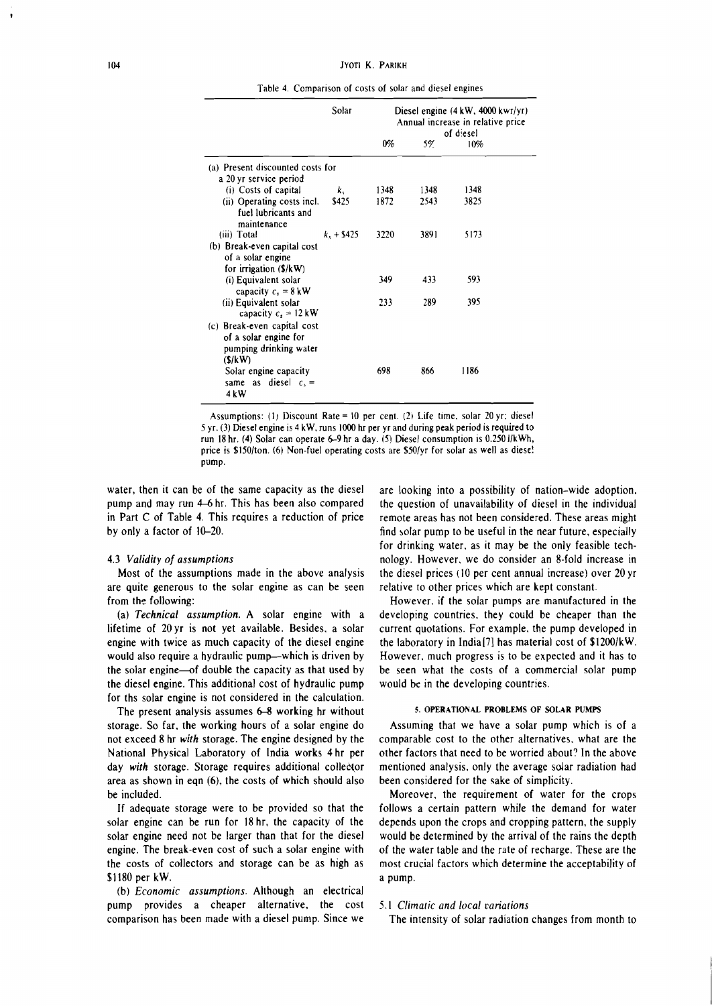Table 4. Comparison of costs of solar and diesel engines

|                                                                                          | Solar           |       |      | Diesel engine (4 kW, 4000 kwr/yr)<br>Annual increase in relative price<br>of diesel |  |  |
|------------------------------------------------------------------------------------------|-----------------|-------|------|-------------------------------------------------------------------------------------|--|--|
|                                                                                          |                 | $0\%$ | 5%   | 10%                                                                                 |  |  |
| (a) Present discounted costs for                                                         |                 |       |      |                                                                                     |  |  |
| a 20 yr service period                                                                   |                 |       |      |                                                                                     |  |  |
| (i) Costs of capital                                                                     | k.              | 1348  | 1348 | 1348                                                                                |  |  |
| (ii) Operating costs incl.                                                               | \$425           | 1872  | 2543 | 3825                                                                                |  |  |
| fuel lubricants and<br>maintenance                                                       |                 |       |      |                                                                                     |  |  |
| (iii) Total                                                                              | $k_{r}$ + \$425 | 3220  | 3891 | 5173                                                                                |  |  |
| (b) Break-even capital cost<br>of a solar engine<br>for irrigation $(\frac{1}{2} / kW)$  |                 |       |      |                                                                                     |  |  |
| (i) Equivalent solar<br>capacity $c_s = 8$ kW                                            |                 | 349   | 433  | 593                                                                                 |  |  |
| (ii) Equivalent solar<br>capacity $c_s = 12$ kW                                          |                 | 233   | 289  | 395                                                                                 |  |  |
| (c) Break-even capital cost<br>of a solar engine for<br>pumping drinking water<br>(S/kW) |                 |       |      |                                                                                     |  |  |
| Solar engine capacity<br>same as diesel $c_1$ =<br>4 k W                                 |                 | 698   | 866  | 1186                                                                                |  |  |

Assumptions: (I) Discount Rate = 10 per cent. (21 Life time, solar 20 yr: diesel 5 yr. (3) Desel engine is 4 kW, runs **1000** hr per yr and during peak period is required to run 18 hr. (4) Solar can operate 6-9 hr a day. (5) Diesel consumption is 0.250 I/kWh, price is \$150/ton. (6) Non-fuel operating costs are \$50/yr for solar as well as diese! pump.

water, then it can be of the same capacity as the diesel pump and may run 4-6 hr. This has been also compared in Part C of Table 4. This requires a reduction of price by only a factor of 10-20.

# **4.3 Validity of assumptions**

Most of the assumptions made in the above analysis are quite generous to the solar engine as can be seen from the following:

(a) **Technical assumption.** A solar engine with a lifetime of 20 yr is not yet available. Besides. a solar engine with twice as much capacity of the diesel engine would also require a hydraulic pump--which is driven by the solar engine-of double the capacity as that used by the diesel engine. This additional cost of hydraulic pump for ths solar engine is not considered in the calculation.

The present analysis assumes 6-8 working hr without storage. So far. the working hours of a solar engine do not exceed 8 hr **with** storage. The engine designed by the National Physical Laboratory of India works 4 hr per day with storage. Storage requires additional collector area as shown in eqn **(6),** the costs of which should also be included.

If adequate storage were to be provided so that the solar engine can be run for 18 hr, the capacity of the solar engine need not be larger than that for the diesel engine. The break-even cost of such a solar engine with the costs of collectors and storage can be as high as \$1 180 per kW.

(b) **Economic assumptions.** Although an electrical pump provides a cheaper alternative, the cost comparison has been made with a diesel pump. Since we are looking into a possibility of nation-wide adoption. the question of unavailability of diesel in the individual remote areas has not been considered. These areas might find solar pump to be useful in the near future, especially for drinking water, as it may be the only feasible technology. However. we do consider an 8-fold increase in the diesel prices (10 per cent annual increase) over 20 yr relative to other prices which are kept constant.

However. if the solar pumps are manufactured in the developing countries, they could be cheaper than the current quotations. For example, the pump developed in the laboratory in India[7] has material cost of \$1200/kW. However, much progress is to be expected and it has to be seen what the costs of a commercial solar pump would be in the developing countries.

### **5. OPERATIONAL PROBLEMS OF SOLAR PUMPS**

Assuming that we have a solar pump which is of a comparable cost to the other alternatives. what are the other factors that need to be worried about? In the above mentioned analysis. only the average solar radiation had been considered for the sake of simplicity.

Moreover. the requirement of water for the crops follows a certain pattern while the demand for water depends upon the crops and cropping pattern, the supply would be determined by the arrival of the rains the depth of the water table and the rate of recharge. These are the most crucial factors which determine the acceptability of a pump.

### 5.1 **Climatic and local canations**

The intensity of solar radiation changes from month to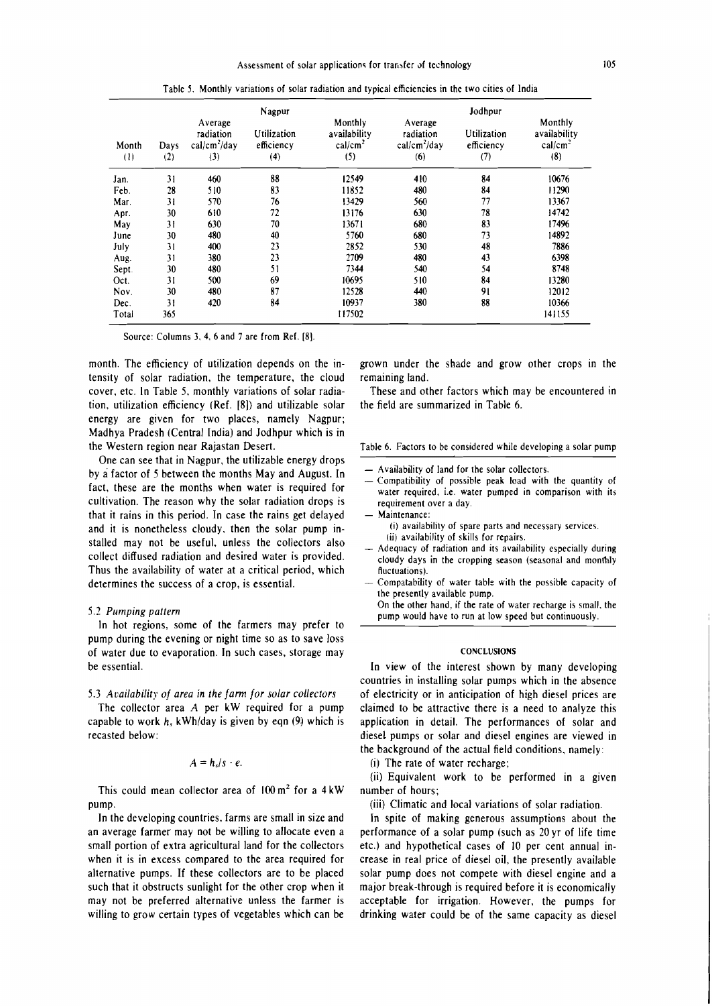|              |             | Nagpur                                                  |                                  |                                                       | Jodhpur                                       |                                  |                                                       |
|--------------|-------------|---------------------------------------------------------|----------------------------------|-------------------------------------------------------|-----------------------------------------------|----------------------------------|-------------------------------------------------------|
| Month<br>(1) | Days<br>(2) | Average<br>radiation<br>cal/cm <sup>2</sup> /day<br>(3) | Utilization<br>efficiency<br>(4) | Monthly<br>availability<br>cal/cm <sup>2</sup><br>(5) | Average<br>radiation<br>$cal/cm^2/day$<br>(6) | Utilization<br>efficiency<br>(7) | Monthly<br>availability<br>cal/cm <sup>2</sup><br>(8) |
| Jan.         | 31          | 460                                                     | 88                               | 12549                                                 | 410                                           | 84                               | 10676                                                 |
| Feb.         | 28          | 510                                                     | 83                               | 11852                                                 | 480                                           | 84                               | 11290                                                 |
| Mar.         | 31          | 570                                                     | 76                               | 13429                                                 | 560                                           | 77                               | 13367                                                 |
| Apr.         | 30          | 610                                                     | 72                               | 13176                                                 | 630                                           | 78                               | 14742                                                 |
| May          | 31          | 630                                                     | 70                               | 13671                                                 | 680                                           | 83                               | 17496                                                 |
| June         | 30          | 480                                                     | 40                               | 5760                                                  | 680                                           | 73                               | 14892                                                 |
| July         | 31          | 400                                                     | 23                               | 2852                                                  | 530                                           | 48                               | 7886                                                  |
| Aug.         | 31          | 380                                                     | 23                               | 2709                                                  | 480                                           | 43                               | 6398                                                  |
| Sept.        | 30          | 480                                                     | 51                               | 7344                                                  | 540                                           | 54                               | 8748                                                  |
| Oct.         | 31          | 500                                                     | 69                               | 10695                                                 | 510                                           | 84                               | 13280                                                 |
| Nov.         | 30          | 480                                                     | 87                               | 12528                                                 | 440                                           | 91                               | 12012                                                 |
| Dec.         | 31          | 420                                                     | 84                               | 10937                                                 | 380                                           | 88                               | 10366                                                 |
| Total        | 365         |                                                         |                                  | 117502                                                |                                               |                                  | 141155                                                |

**Table 5. Monthly variations of solar radiation and typical efficiencies in the two cities of India** 

**Source: Columns 3. 4. 6 and 7 are from Ref. [8]** 

month. The efficiency of utilization depends on the in- grown under the shade and grow other crops in the tensity of solar radiation, the temperature, the cloud remaining land. cover, etc. In Table 5, monthly variations of solar radia- These and other factors which may be encountered in tion, utilization efficiency (Ref. 181) and utilizable solar the field are summarized in Table 6. energy are given for two places, namely Nagpur; Madhya Pradesh (Central India) and Jodhpur which is in the Western region near Rajastan Desert. **Table 6. Factors to be considered while developing a solar pump** 

One can see that in Nagpur, the utilizable energy drops by a factor of 5 between the months May and August. In  $-$  Availability of land for the solar collectors. Fact, these are the months when water is required for  $\frac{w}{x}$  and  $\frac{w}{x}$  compatibility of possible peak load with the quantity of fact, these are the months when water is required for  $\frac{w}{x}$  and  $\frac{w}{x}$  i.e. wate cultivation. The reason why the solar radiation drops is requirement over a day.<br>
that it rains in this period. In case the rains get delayed - Maintenance: and it is nonetheless cloudy, then the solar pump in- **(i) availability of spare parts and necessary services.**  stalled may not be useful, unless the collectors also<br>
collect diffused radiation and desired water is provided.<br>
Thus the availability of water at a critical period, which<br>
fluctuations).<br> **cloudy days in the cropping sea** Thus the availability of water at a critical period, which determines the success of a crop, is essential.

### 5.2 *Pumping pattern*

In hot regions, some of the farmers may prefer to pump during the evening or night time so as to save loss of water due to evaporation. In such cases, storage may be essential.

# *5.3 Acailability of area in the farm for solar collectors*

The collector area A per kW required for a pump capable to work *h,* kWh/day is given by eqn (9) which is recasted below:

$$
A=h_s/s\cdot e.
$$

This could mean collector area of  $100 \text{ m}^2$  for a  $4 \text{ kW}$ pump.

In the developing countries, farms are small in size and an average farmer may not be willing to allocate even a small portion of extra agricultural land for the collectors when it is in excess compared to the area required for alternative pumps. If these collectors are to be placed such that it obstructs sunlight for the other crop when it may not be preferred alternative unless the farmer is willing to grow certain types of vegetables which can be

- 
- 
- -
- **(ii) availability of skills for repairs.**
- **Compatability of water tablz with the possible capacity of the presently available pump.**
- **On the other hand, if the rate of water recharge is small, the pump would have to run at low speed but continuously.**

#### **CONCLUSIONS**

In view of the interest shown by many developing countries in installing solar pumps which in the absence of electricity or in anticipation of high diesel prices are claimed to be attractive there is a need to analyze this application in detail. The performances of solar and diesel pumps or solar and diesel engines are viewed in the background of the actual field conditions, namely:

(i) The rate of water recharge;

(ii) Equivalent work to be performed in a given number of hours;

(iii) Climatic and local variations of solar radiation.

In spite of making generous assumptions about the performance of a solar pump (such as 20 yr of life time etc.) and hypothetical cases of 10 per cent annual increase in real price of diesel oil, the presently available solar pump does not compete with diesel engine and a major break-through is required before it is economically acceptable for irrigation. However, the pumps for drinking water could be of the same capacity as diesel